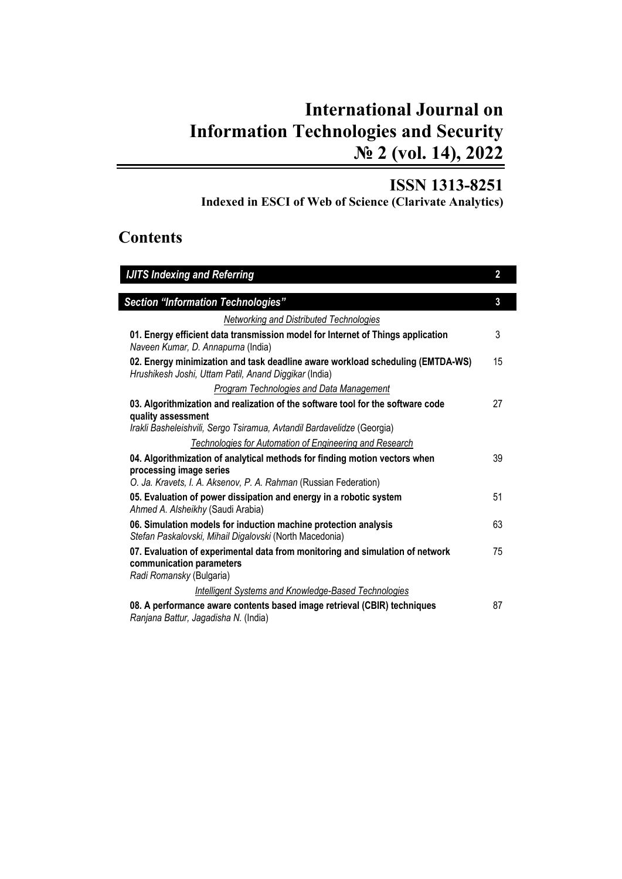## **International Journal on Information Technologies and Security № 2 (vol. 14), 2022**

## **ISSN 1313-8251**

**Indexed in ESCI of Web of Science (Clarivate Analytics)**

## **Contents**

| <b>IJITS Indexing and Referring</b>                                                                                                                                             | $\overline{\mathbf{2}}$ |
|---------------------------------------------------------------------------------------------------------------------------------------------------------------------------------|-------------------------|
| <b>Section "Information Technologies"</b>                                                                                                                                       | $\mathbf{3}$            |
| Networking and Distributed Technologies                                                                                                                                         |                         |
| 01. Energy efficient data transmission model for Internet of Things application<br>Naveen Kumar, D. Annapurna (India)                                                           | 3                       |
| 02. Energy minimization and task deadline aware workload scheduling (EMTDA-WS)<br>Hrushikesh Joshi, Uttam Patil, Anand Diggikar (India)                                         | 15                      |
| Program Technologies and Data Management                                                                                                                                        |                         |
| 03. Algorithmization and realization of the software tool for the software code<br>quality assessment<br>Irakli Basheleishvili, Sergo Tsiramua, Avtandil Bardavelidze (Georgia) | 27                      |
| <b>Technologies for Automation of Engineering and Research</b>                                                                                                                  |                         |
| 04. Algorithmization of analytical methods for finding motion vectors when<br>processing image series<br>O. Ja. Kravets, I. A. Aksenov, P. A. Rahman (Russian Federation)       | 39                      |
| 05. Evaluation of power dissipation and energy in a robotic system<br>Ahmed A. Alsheikhy (Saudi Arabia)                                                                         | 51                      |
| 06. Simulation models for induction machine protection analysis<br>Stefan Paskalovski, Mihail Digalovski (North Macedonia)                                                      | 63                      |
| 07. Evaluation of experimental data from monitoring and simulation of network<br>communication parameters<br>Radi Romansky (Bulgaria)                                           | 75                      |
| <b>Intelligent Systems and Knowledge-Based Technologies</b>                                                                                                                     |                         |
| 08. A performance aware contents based image retrieval (CBIR) techniques<br>Ranjana Battur, Jagadisha N. (India)                                                                | 87                      |